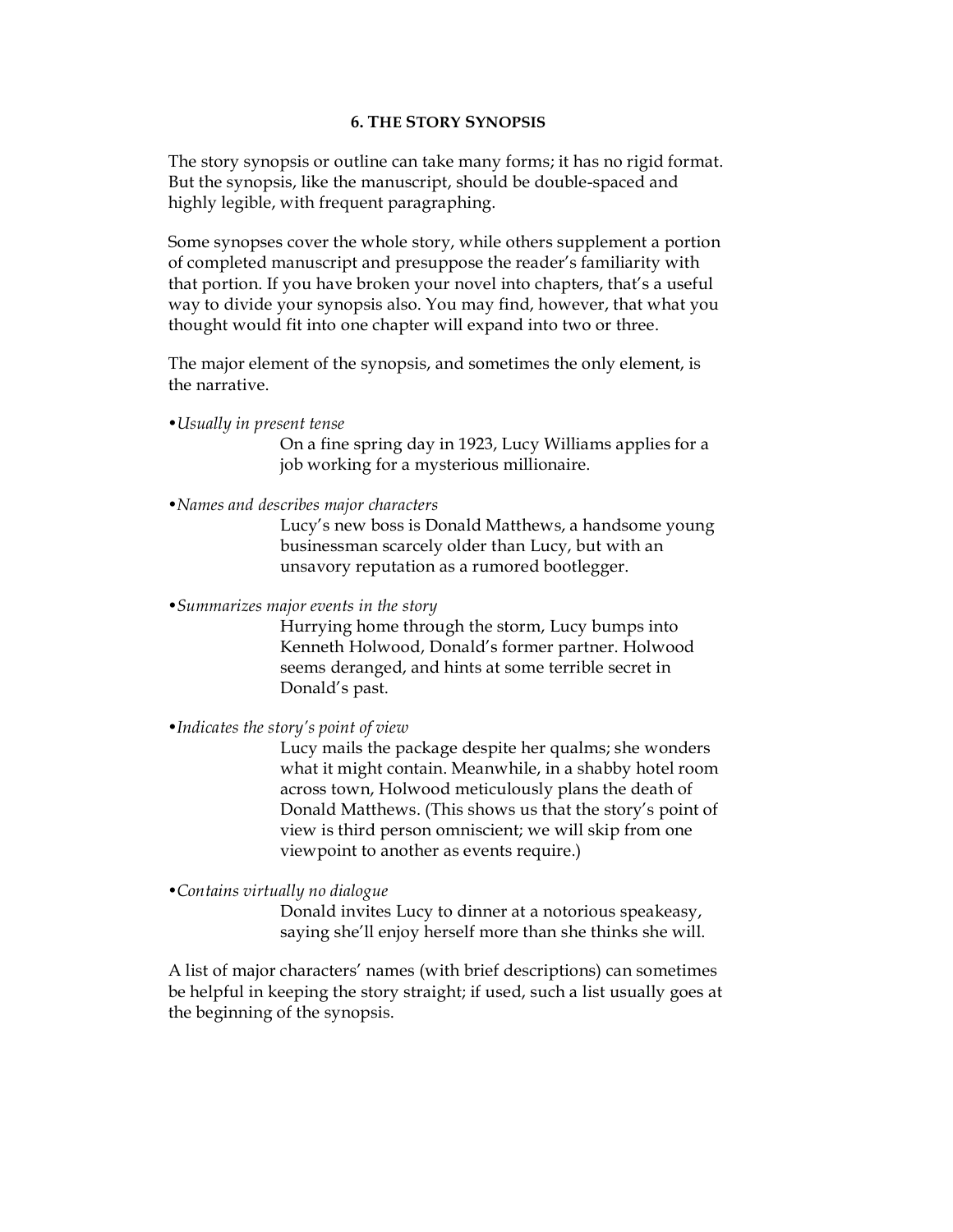## **6. THE STORY SYNOPSIS**

The story synopsis or outline can take many forms; it has no rigid format. But the synopsis, like the manuscript, should be double-spaced and highly legible, with frequent paragraphing.

Some synopses cover the whole story, while others supplement a portion of completed manuscript and presuppose the reader's familiarity with that portion. If you have broken your novel into chapters, that's a useful way to divide your synopsis also. You may find, however, that what you thought would fit into one chapter will expand into two or three.

The major element of the synopsis, and sometimes the only element, is the narrative.

*•Usually in present tense*

On a fine spring day in 1923, Lucy Williams applies for a job working for a mysterious millionaire.

*•Names and describes major characters*

Lucy's new boss is Donald Matthews, a handsome young businessman scarcely older than Lucy, but with an unsavory reputation as a rumored bootlegger.

*•Summarizes major events in the story*

Hurrying home through the storm, Lucy bumps into Kenneth Holwood, Donald's former partner. Holwood seems deranged, and hints at some terrible secret in Donald's past.

*•Indicates the story's point of view*

Lucy mails the package despite her qualms; she wonders what it might contain. Meanwhile, in a shabby hotel room across town, Holwood meticulously plans the death of Donald Matthews. (This shows us that the story's point of view is third person omniscient; we will skip from one viewpoint to another as events require.)

*•Contains virtually no dialogue*

Donald invites Lucy to dinner at a notorious speakeasy, saying she'll enjoy herself more than she thinks she will.

A list of major characters' names (with brief descriptions) can sometimes be helpful in keeping the story straight; if used, such a list usually goes at the beginning of the synopsis.